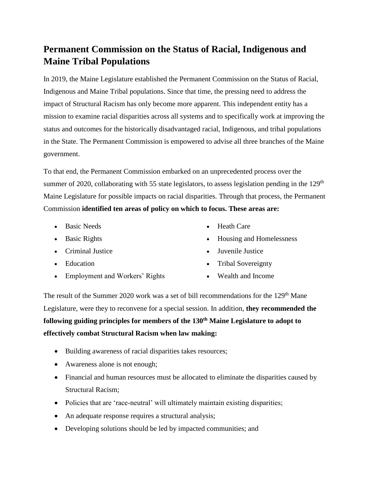## **Permanent Commission on the Status of Racial, Indigenous and Maine Tribal Populations**

In 2019, the Maine Legislature established the Permanent Commission on the Status of Racial, Indigenous and Maine Tribal populations. Since that time, the pressing need to address the impact of Structural Racism has only become more apparent. This independent entity has a mission to examine racial disparities across all systems and to specifically work at improving the status and outcomes for the historically disadvantaged racial, Indigenous, and tribal populations in the State. The Permanent Commission is empowered to advise all three branches of the Maine government.

To that end, the Permanent Commission embarked on an unprecedented process over the summer of 2020, collaborating with 55 state legislators, to assess legislation pending in the  $129<sup>th</sup>$ Maine Legislature for possible impacts on racial disparities. Through that process, the Permanent Commission **identified ten areas of policy on which to focus. These areas are:**

- Basic Needs
- Basic Rights
- Criminal Justice
- Education
- Employment and Workers' Rights
- Heath Care
- Housing and Homelessness
- Juvenile Justice
- Tribal Sovereignty
- Wealth and Income

The result of the Summer 2020 work was a set of bill recommendations for the  $129<sup>th</sup>$  Mane Legislature, were they to reconvene for a special session. In addition, **they recommended the following guiding principles for members of the 130th Maine Legislature to adopt to effectively combat Structural Racism when law making:**

- Building awareness of racial disparities takes resources;
- Awareness alone is not enough;
- Financial and human resources must be allocated to eliminate the disparities caused by Structural Racism;
- Policies that are 'race-neutral' will ultimately maintain existing disparities;
- An adequate response requires a structural analysis;
- Developing solutions should be led by impacted communities; and